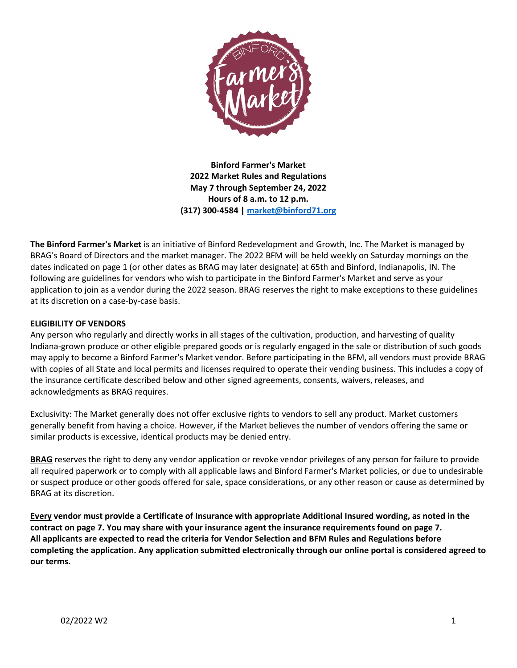

**Binford Farmer's Market 2022 Market Rules and Regulations May 7 through September 24, 2022 Hours of 8 a.m. to 12 p.m. (317) 300-4584 [| market@binford71.org](mailto:market@binford71.org)**

**The Binford Farmer's Market** is an initiative of Binford Redevelopment and Growth, Inc. The Market is managed by BRAG's Board of Directors and the market manager. The 2022 BFM will be held weekly on Saturday mornings on the dates indicated on page 1 (or other dates as BRAG may later designate) at 65th and Binford, Indianapolis, IN. The following are guidelines for vendors who wish to participate in the Binford Farmer's Market and serve as your application to join as a vendor during the 2022 season. BRAG reserves the right to make exceptions to these guidelines at its discretion on a case-by-case basis.

# **ELIGIBILITY OF VENDORS**

Any person who regularly and directly works in all stages of the cultivation, production, and harvesting of quality Indiana-grown produce or other eligible prepared goods or is regularly engaged in the sale or distribution of such goods may apply to become a Binford Farmer's Market vendor. Before participating in the BFM, all vendors must provide BRAG with copies of all State and local permits and licenses required to operate their vending business. This includes a copy of the insurance certificate described below and other signed agreements, consents, waivers, releases, and acknowledgments as BRAG requires.

Exclusivity: The Market generally does not offer exclusive rights to vendors to sell any product. Market customers generally benefit from having a choice. However, if the Market believes the number of vendors offering the same or similar products is excessive, identical products may be denied entry.

**BRAG** reserves the right to deny any vendor application or revoke vendor privileges of any person for failure to provide all required paperwork or to comply with all applicable laws and Binford Farmer's Market policies, or due to undesirable or suspect produce or other goods offered for sale, space considerations, or any other reason or cause as determined by BRAG at its discretion.

**Every vendor must provide a Certificate of Insurance with appropriate Additional Insured wording, as noted in the contract on page 7. You may share with your insurance agent the insurance requirements found on page 7. All applicants are expected to read the criteria for Vendor Selection and BFM Rules and Regulations before completing the application. Any application submitted electronically through our online portal is considered agreed to our terms.**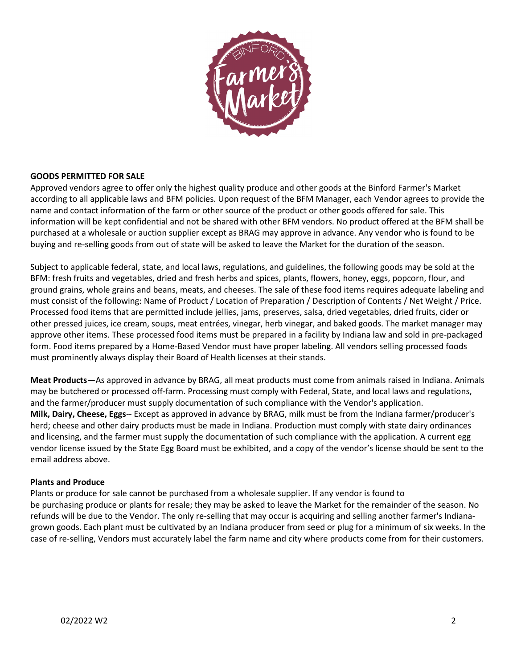

# **GOODS PERMITTED FOR SALE**

Approved vendors agree to offer only the highest quality produce and other goods at the Binford Farmer's Market according to all applicable laws and BFM policies. Upon request of the BFM Manager, each Vendor agrees to provide the name and contact information of the farm or other source of the product or other goods offered for sale. This information will be kept confidential and not be shared with other BFM vendors. No product offered at the BFM shall be purchased at a wholesale or auction supplier except as BRAG may approve in advance. Any vendor who is found to be buying and re-selling goods from out of state will be asked to leave the Market for the duration of the season.

Subject to applicable federal, state, and local laws, regulations, and guidelines, the following goods may be sold at the BFM: fresh fruits and vegetables, dried and fresh herbs and spices, plants, flowers, honey, eggs, popcorn, flour, and ground grains, whole grains and beans, meats, and cheeses. The sale of these food items requires adequate labeling and must consist of the following: Name of Product / Location of Preparation / Description of Contents / Net Weight / Price. Processed food items that are permitted include jellies, jams, preserves, salsa, dried vegetables, dried fruits, cider or other pressed juices, ice cream, soups, meat entrées, vinegar, herb vinegar, and baked goods. The market manager may approve other items. These processed food items must be prepared in a facility by Indiana law and sold in pre-packaged form. Food items prepared by a Home-Based Vendor must have proper labeling. All vendors selling processed foods must prominently always display their Board of Health licenses at their stands.

**Meat Products**—As approved in advance by BRAG, all meat products must come from animals raised in Indiana. Animals may be butchered or processed off-farm. Processing must comply with Federal, State, and local laws and regulations, and the farmer/producer must supply documentation of such compliance with the Vendor's application. **Milk, Dairy, Cheese, Eggs**-- Except as approved in advance by BRAG, milk must be from the Indiana farmer/producer's herd; cheese and other dairy products must be made in Indiana. Production must comply with state dairy ordinances and licensing, and the farmer must supply the documentation of such compliance with the application. A current egg vendor license issued by the State Egg Board must be exhibited, and a copy of the vendor's license should be sent to the email address above.

# **Plants and Produce**

Plants or produce for sale cannot be purchased from a wholesale supplier. If any vendor is found to be purchasing produce or plants for resale; they may be asked to leave the Market for the remainder of the season. No refunds will be due to the Vendor. The only re-selling that may occur is acquiring and selling another farmer's Indianagrown goods. Each plant must be cultivated by an Indiana producer from seed or plug for a minimum of six weeks. In the case of re-selling, Vendors must accurately label the farm name and city where products come from for their customers.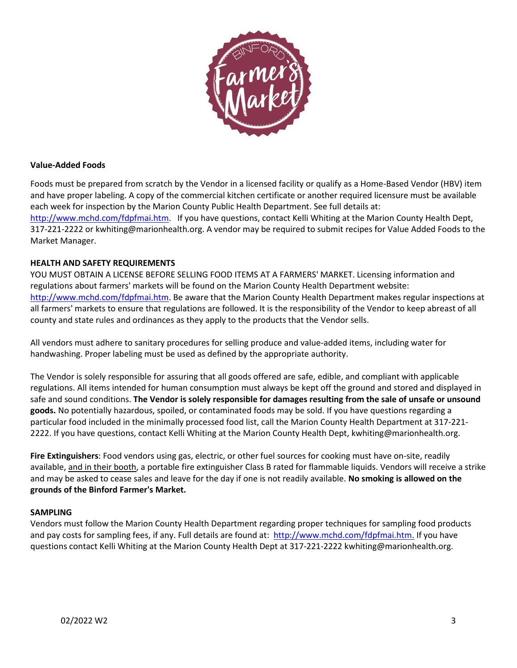

# **Value-Added Foods**

Foods must be prepared from scratch by the Vendor in a licensed facility or qualify as a Home-Based Vendor (HBV) item and have proper labeling. A copy of the commercial kitchen certificate or another required licensure must be available each week for inspection by the Marion County Public Health Department. See full details at: [http://www.mchd.com/fdpfmai.htm.](http://www.mchd.com/fdpfmai.htm) If you have questions, contact Kelli Whiting at the Marion County Health Dept, 317-221-2222 or kwhiting@marionhealth.org. A vendor may be required to submit recipes for Value Added Foods to the Market Manager.

### **HEALTH AND SAFETY REQUIREMENTS**

YOU MUST OBTAIN A LICENSE BEFORE SELLING FOOD ITEMS AT A FARMERS' MARKET. Licensing information and regulations about farmers' markets will be found on the Marion County Health Department website: [http://www.mchd.com/fdpfmai.htm.](http://www.mchd.com/fdpfmai.htm) Be aware that the Marion County Health Department makes regular inspections at all farmers' markets to ensure that regulations are followed. It is the responsibility of the Vendor to keep abreast of all county and state rules and ordinances as they apply to the products that the Vendor sells.

All vendors must adhere to sanitary procedures for selling produce and value-added items, including water for handwashing. Proper labeling must be used as defined by the appropriate authority.

The Vendor is solely responsible for assuring that all goods offered are safe, edible, and compliant with applicable regulations. All items intended for human consumption must always be kept off the ground and stored and displayed in safe and sound conditions. **The Vendor is solely responsible for damages resulting from the sale of unsafe or unsound goods.** No potentially hazardous, spoiled, or contaminated foods may be sold. If you have questions regarding a particular food included in the minimally processed food list, call the Marion County Health Department at 317-221- 2222. If you have questions, contact Kelli Whiting at the Marion County Health Dept, kwhiting@marionhealth.org.

**Fire Extinguishers**: Food vendors using gas, electric, or other fuel sources for cooking must have on-site, readily available, and in their booth, a portable fire extinguisher Class B rated for flammable liquids. Vendors will receive a strike and may be asked to cease sales and leave for the day if one is not readily available. **No smoking is allowed on the grounds of the Binford Farmer's Market.**

# **SAMPLING**

Vendors must follow the Marion County Health Department regarding proper techniques for sampling food products and pay costs for sampling fees, if any. Full details are found at: [http://www.mchd.com/fdpfmai.htm.](http://www.mchd.com/fdpfmai.htm) If you have questions contact Kelli Whiting at the Marion County Health Dept at 317-221-2222 kwhiting@marionhealth.org.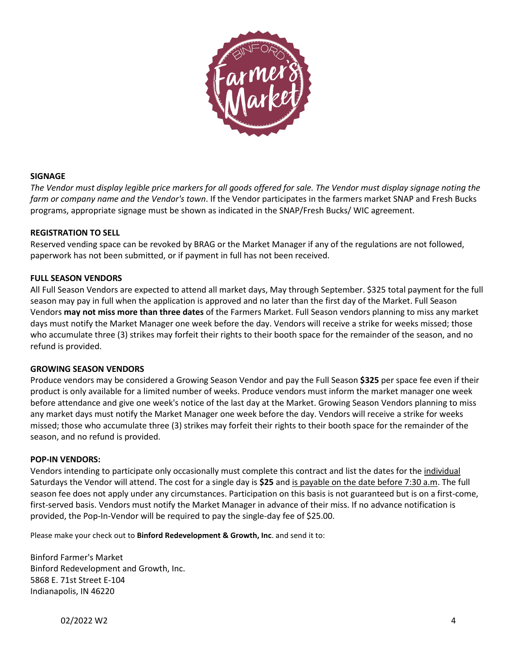

# **SIGNAGE**

*The Vendor must display legible price markers for all goods offered for sale. The Vendor must display signage noting the farm or company name and the Vendor's town*. If the Vendor participates in the farmers market SNAP and Fresh Bucks programs, appropriate signage must be shown as indicated in the SNAP/Fresh Bucks/ WIC agreement.

### **REGISTRATION TO SELL**

Reserved vending space can be revoked by BRAG or the Market Manager if any of the regulations are not followed, paperwork has not been submitted, or if payment in full has not been received.

### **FULL SEASON VENDORS**

All Full Season Vendors are expected to attend all market days, May through September. \$325 total payment for the full season may pay in full when the application is approved and no later than the first day of the Market. Full Season Vendors **may not miss more than three dates** of the Farmers Market. Full Season vendors planning to miss any market days must notify the Market Manager one week before the day. Vendors will receive a strike for weeks missed; those who accumulate three (3) strikes may forfeit their rights to their booth space for the remainder of the season, and no refund is provided.

#### **GROWING SEASON VENDORS**

Produce vendors may be considered a Growing Season Vendor and pay the Full Season **\$325** per space fee even if their product is only available for a limited number of weeks. Produce vendors must inform the market manager one week before attendance and give one week's notice of the last day at the Market. Growing Season Vendors planning to miss any market days must notify the Market Manager one week before the day. Vendors will receive a strike for weeks missed; those who accumulate three (3) strikes may forfeit their rights to their booth space for the remainder of the season, and no refund is provided.

#### **POP-IN VENDORS:**

Vendors intending to participate only occasionally must complete this contract and list the dates for the individual Saturdays the Vendor will attend. The cost for a single day is **\$25** and is payable on the date before 7:30 a.m. The full season fee does not apply under any circumstances. Participation on this basis is not guaranteed but is on a first-come, first-served basis. Vendors must notify the Market Manager in advance of their miss. If no advance notification is provided, the Pop-In-Vendor will be required to pay the single-day fee of \$25.00.

Please make your check out to **Binford Redevelopment & Growth, Inc**. and send it to:

Binford Farmer's Market Binford Redevelopment and Growth, Inc. 5868 E. 71st Street E-104 Indianapolis, IN 46220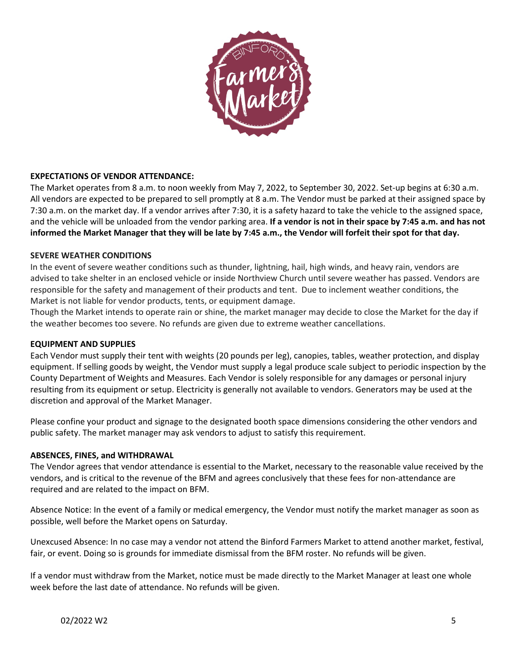

# **EXPECTATIONS OF VENDOR ATTENDANCE:**

The Market operates from 8 a.m. to noon weekly from May 7, 2022, to September 30, 2022. Set-up begins at 6:30 a.m. All vendors are expected to be prepared to sell promptly at 8 a.m. The Vendor must be parked at their assigned space by 7:30 a.m. on the market day. If a vendor arrives after 7:30, it is a safety hazard to take the vehicle to the assigned space, and the vehicle will be unloaded from the vendor parking area. **If a vendor is not in their space by 7:45 a.m. and has not informed the Market Manager that they will be late by 7:45 a.m., the Vendor will forfeit their spot for that day.** 

# **SEVERE WEATHER CONDITIONS**

In the event of severe weather conditions such as thunder, lightning, hail, high winds, and heavy rain, vendors are advised to take shelter in an enclosed vehicle or inside Northview Church until severe weather has passed. Vendors are responsible for the safety and management of their products and tent. Due to inclement weather conditions, the Market is not liable for vendor products, tents, or equipment damage.

Though the Market intends to operate rain or shine, the market manager may decide to close the Market for the day if the weather becomes too severe. No refunds are given due to extreme weather cancellations.

#### **EQUIPMENT AND SUPPLIES**

Each Vendor must supply their tent with weights (20 pounds per leg), canopies, tables, weather protection, and display equipment. If selling goods by weight, the Vendor must supply a legal produce scale subject to periodic inspection by the County Department of Weights and Measures. Each Vendor is solely responsible for any damages or personal injury resulting from its equipment or setup. Electricity is generally not available to vendors. Generators may be used at the discretion and approval of the Market Manager.

Please confine your product and signage to the designated booth space dimensions considering the other vendors and public safety. The market manager may ask vendors to adjust to satisfy this requirement.

#### **ABSENCES, FINES, and WITHDRAWAL**

The Vendor agrees that vendor attendance is essential to the Market, necessary to the reasonable value received by the vendors, and is critical to the revenue of the BFM and agrees conclusively that these fees for non-attendance are required and are related to the impact on BFM.

Absence Notice: In the event of a family or medical emergency, the Vendor must notify the market manager as soon as possible, well before the Market opens on Saturday.

Unexcused Absence: In no case may a vendor not attend the Binford Farmers Market to attend another market, festival, fair, or event. Doing so is grounds for immediate dismissal from the BFM roster. No refunds will be given.

If a vendor must withdraw from the Market, notice must be made directly to the Market Manager at least one whole week before the last date of attendance. No refunds will be given.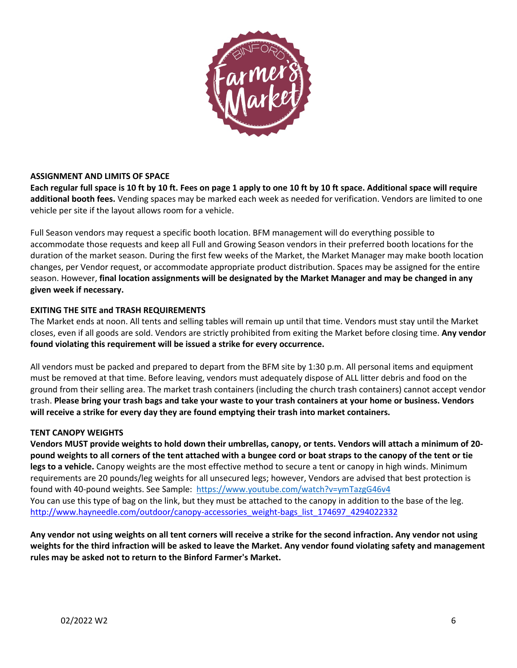

# **ASSIGNMENT AND LIMITS OF SPACE**

**Each regular full space is 10 ft by 10 ft. Fees on page 1 apply to one 10 ft by 10 ft space. Additional space will require additional booth fees.** Vending spaces may be marked each week as needed for verification. Vendors are limited to one vehicle per site if the layout allows room for a vehicle.

Full Season vendors may request a specific booth location. BFM management will do everything possible to accommodate those requests and keep all Full and Growing Season vendors in their preferred booth locations for the duration of the market season. During the first few weeks of the Market, the Market Manager may make booth location changes, per Vendor request, or accommodate appropriate product distribution. Spaces may be assigned for the entire season. However, **final location assignments will be designated by the Market Manager and may be changed in any given week if necessary.**

# **EXITING THE SITE and TRASH REQUIREMENTS**

The Market ends at noon. All tents and selling tables will remain up until that time. Vendors must stay until the Market closes, even if all goods are sold. Vendors are strictly prohibited from exiting the Market before closing time. **Any vendor found violating this requirement will be issued a strike for every occurrence.**

All vendors must be packed and prepared to depart from the BFM site by 1:30 p.m. All personal items and equipment must be removed at that time. Before leaving, vendors must adequately dispose of ALL litter debris and food on the ground from their selling area. The market trash containers (including the church trash containers) cannot accept vendor trash. **Please bring your trash bags and take your waste to your trash containers at your home or business. Vendors will receive a strike for every day they are found emptying their trash into market containers.**

# **TENT CANOPY WEIGHTS**

**Vendors MUST provide weights to hold down their umbrellas, canopy, or tents. Vendors will attach a minimum of 20 pound weights to all corners of the tent attached with a bungee cord or boat straps to the canopy of the tent or tie legs to a vehicle.** Canopy weights are the most effective method to secure a tent or canopy in high winds. Minimum requirements are 20 pounds/leg weights for all unsecured legs; however, Vendors are advised that best protection is found with 40-pound weights. See Sample:<https://www.youtube.com/watch?v=ymTazgG46v4> You can use this type of bag on the link, but they must be attached to the canopy in addition to the base of the leg. [http://www.hayneedle.com/outdoor/canopy-accessories\\_weight-bags\\_list\\_174697\\_4294022332](http://www.hayneedle.com/outdoor/canopy-accessories_weight-bags_list_174697_4294022332)

**Any vendor not using weights on all tent corners will receive a strike for the second infraction. Any vendor not using weights for the third infraction will be asked to leave the Market. Any vendor found violating safety and management rules may be asked not to return to the Binford Farmer's Market.**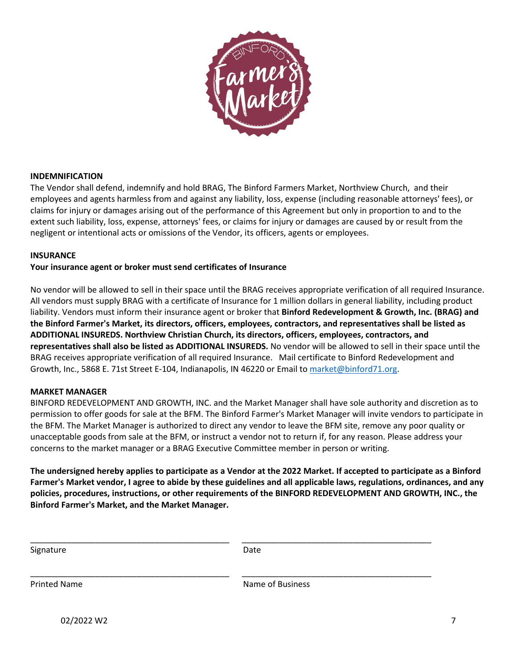

### **INDEMNIFICATION**

The Vendor shall defend, indemnify and hold BRAG, The Binford Farmers Market, Northview Church, and their employees and agents harmless from and against any liability, loss, expense (including reasonable attorneys' fees), or claims for injury or damages arising out of the performance of this Agreement but only in proportion to and to the extent such liability, loss, expense, attorneys' fees, or claims for injury or damages are caused by or result from the negligent or intentional acts or omissions of the Vendor, its officers, agents or employees.

#### **INSURANCE**

### **Your insurance agent or broker must send certificates of Insurance**

No vendor will be allowed to sell in their space until the BRAG receives appropriate verification of all required Insurance. All vendors must supply BRAG with a certificate of Insurance for 1 million dollars in general liability, including product liability. Vendors must inform their insurance agent or broker that **Binford Redevelopment & Growth, Inc. (BRAG) and the Binford Farmer's Market, its directors, officers, employees, contractors, and representatives shall be listed as ADDITIONAL INSUREDS. Northview Christian Church, its directors, officers, employees, contractors, and representatives shall also be listed as ADDITIONAL INSUREDS.** No vendor will be allowed to sell in their space until the BRAG receives appropriate verification of all required Insurance. Mail certificate to Binford Redevelopment and Growth, Inc., 5868 E. 71st Street E-104, Indianapolis, IN 46220 or Email to [market@binford71.org.](mailto:market@binford71.org)

#### **MARKET MANAGER**

BINFORD REDEVELOPMENT AND GROWTH, INC. and the Market Manager shall have sole authority and discretion as to permission to offer goods for sale at the BFM. The Binford Farmer's Market Manager will invite vendors to participate in the BFM. The Market Manager is authorized to direct any vendor to leave the BFM site, remove any poor quality or unacceptable goods from sale at the BFM, or instruct a vendor not to return if, for any reason. Please address your concerns to the market manager or a BRAG Executive Committee member in person or writing.

**The undersigned hereby applies to participate as a Vendor at the 2022 Market. If accepted to participate as a Binford Farmer's Market vendor, I agree to abide by these guidelines and all applicable laws, regulations, ordinances, and any policies, procedures, instructions, or other requirements of the BINFORD REDEVELOPMENT AND GROWTH, INC., the Binford Farmer's Market, and the Market Manager.** 

| Signature    | Date             |  |
|--------------|------------------|--|
| Printed Name | Name of Business |  |